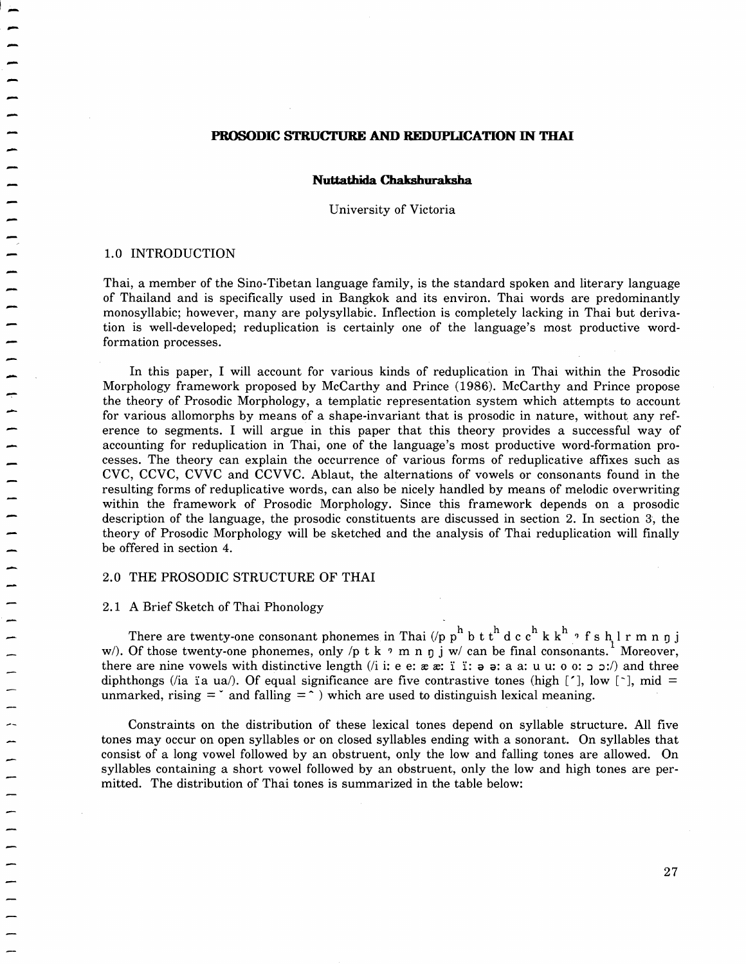# PROSODIC STRUCTURE AND REDUPLICATION IN THAI

#### **Nuttathida Chakshuraksha**

University of Victoria

#### 1.0 INTRODUCTION

 $\overline{a}$ -<br>-<br>-

> Thai, a member of the Sino-Tibetan language family, is the standard spoken and literary language of Thailand and is specifically used in Bangkok and its environ. Thai words are predominantly monosyllabic; however, many are polysyllabic. Inflection is completely lacking in Thai but derivation is well-developed; reduplication is certainly one of the language's most productive wordformation processes.

> In this paper, I will account for various kinds of reduplication in Thai within the Prosodic Morphology framework proposed by McCarthy and Prince (1986). McCarthy and Prince propose the theory of Prosodic Morphology, a templatic representation system which attempts to account for various allomorphs by means of a shape-invariant that is prosodic in nature, without any reference to segments. I will argue in this paper that this theory provides a successful way of accounting for reduplication in Thai, one of the language's most productive word-formation processes. The theory can explain the occurrence of various forms of reduplicative affixes such as CVC, CCVC, CVVC and CCVVC. Ablaut, the alternations of vowels or consonants found in the resulting forms of reduplicative words, can also be nicely handled by means of melodic overwriting within the framework of Prosodic Morphology. Since this framework depends on a prosodic description of the language, the prosodic constituents are discussed in section 2. In section 3, the theory of Prosodic Morphology will be sketched and the analysis of Thai reduplication will finally be offered in section 4.

# 2.0 THE PROSODIC STRUCTURE OF THAI

#### 2.1 A Brief Sketch of Thai Phonology

There are twenty-one consonant phonemes in Thai (/p  $p^h$  b t  $t^h$  d c  $c^h$  k  $k^h$   $\beta$  f s  $h$  l  $r$  m n  $p$  j w/). Of those twenty-one phonemes, only /p t k  $\gamma$  m n  $\eta$  j w/ can be final consonants. Moreover, there are nine vowels with distinctive length (i i: e e:  $x \nvert x$ : 1 1: a a: a a: u u: o o:  $\circ$  :) and three diphthongs (*i* a i a ua/). Of equal significance are five contrastive tones (high [ $\dot{\ }$ ], low [ $\dot{\ }$ ], mid = unmarked, rising  $=$   $\infty$  and falling  $=$   $\infty$  ) which are used to distinguish lexical meaning.

Constraints on the distribution of these lexical tones depend on syllable structure. All five tones may occur on open syllables or on closed syllables ending with a sonorant. On syllables that consist of a long vowel followed by an obstruent, only the low and falling tones are allowed. On syllables containing a short vowel followed by an obstruent, only the low and high tones are permitted. The distribution of Thai tones is summarized in the table below: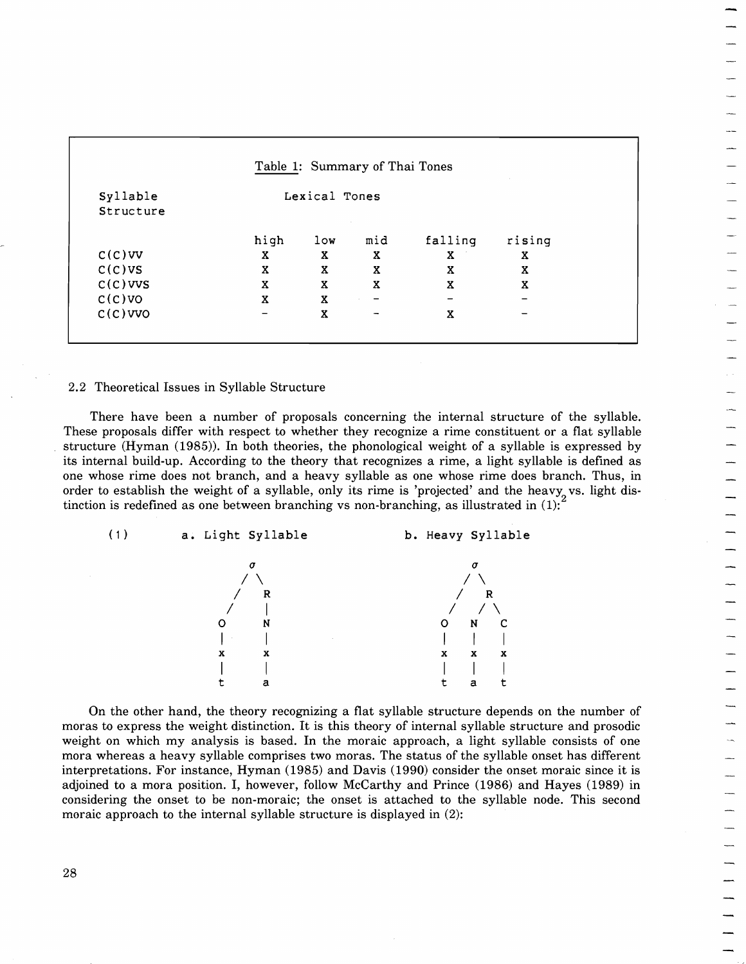|            |               |                 | Table 1: Summary of Thai Tones |         |        |
|------------|---------------|-----------------|--------------------------------|---------|--------|
| Syllable   | Lexical Tones |                 |                                |         |        |
| Structure  |               |                 |                                |         |        |
|            | high          | 1 <sub>ow</sub> | mid                            | falling | rising |
| $C(C)$ VV  | X             | X               | Χ                              | X       | X      |
| C(C)VS     | X             | X               | X                              | X       | X      |
| $C(C)$ VVS | $\mathbf x$   | $\mathbf x$     | $\mathbf x$                    | X       | X      |
| $C(C)$ VO  | X             | X               | $\overline{\phantom{m}}$       |         |        |
| $C(C)$ VVO |               | X               | $\overline{\phantom{m}}$       | X       |        |

#### 2.2 Theoretical Issues in Syllable Structure

There have been a number of proposals concerning the internal structure of the syllable. These proposals differ with respect to whether they recognize a rime constituent or a flat syllable structure (Hyman (1985)). In both theories, the phonological weight of a syllable is expressed by its internal build-up. According to the theory that recognizes a rime, a light syllable is defined as one whose rime does not branch, and a heavy syllable as one whose rime does branch. Thus, in order to establish the weight of a syllable, only its rime is 'projected' and the heavy vs. light distinction is redefined as one between branching vs non-branching, as illustrated in  $(1)$ :



On the other hand, the theory recognizing a flat syllable structure depends on the number of moras to express the weight distinction. It is this theory of internal syllable structure and prosodic weight on which my analysis is based. In the moraic approach, a light syllable consists of one mora whereas a heavy syllable comprises two moras. The status of the syllable onset has different interpretations. For instance, Hyman (1985) and Davis (1990) consider the onset moraic since it is adjoined to a mora position. I, however, follow McCarthy and Prince (1986) and Hayes (1989) in considering the onset to be non-moraic; the onset is attached to the syllable node. This second moraic approach to the internal syllable structure is displayed in (2):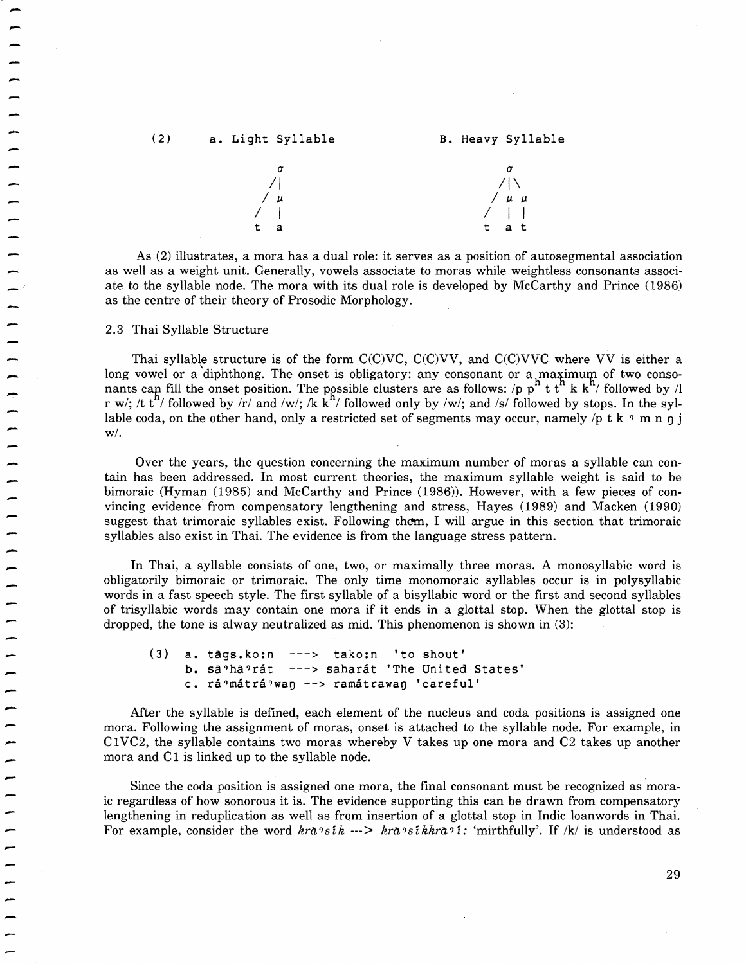

As (2) illustrates, a mora has a dual role: it serves as a position of autosegmental association as well as a weight unit. Generally, vowels associate to moras while weightless consonants associate to the syllable node. The mora with its dual role is developed by McCarthy and Prince (1986) as the centre of their theory of Prosodic Morphology.

2.3 Thai Syllable Structure

Thai syllable structure is of the form  $C(C)VC$ ,  $C(C)VV$ , and  $C(C)VVC$  where VV is either a long vowel or a diphthong. The onset is obligatory: any consonant or a maximum of two consonants cap fill the onset position. The possible clusters are as follows: /p  $p''$  t t $^n$  k k $^n$ / followed by /l r w/; /t t<sup>h</sup>/ followed by  $\overline{r}$  and /w/; /k k<sup>h</sup>/ followed only by /w/; and /s/ followed by stops. In the syllable coda, on the other hand, only a restricted set of segments may occur, namely /p t k  $\gamma$  m n n j  $w/$ .

Over the years, the question concerning the maximum number of moras a syllable can contain has been addressed. In most current theories, the maximum syllable weight is said to be bimoraic (Hyman (1985) and McCarthy and Prince (1986)). However, with a few pieces of convincing evidence from compensatory lengthening and stress, Hayes (1989) and Macken (1990) suggest that trimoraic syllables exist. Following them, I will argue in this section that trimoraic syllables also exist in Thai. The evidence is from the language stress pattern.

In Thai, a syllable consists of one, two, or maximally three moras. A monosyllabic word is obligatorily bimoraic or trimoraic. The only time monomoraic syllables occur is in polysyllabic words in a fast speech style. The first syllable of a bisyllabic word or the first and second syllables of trisyllabic words may contain one mora if it ends in a glottal stop. When the glottal stop is dropped, the tone is alway neutralized as mid. This phenomenon is shown in (3):

(3) a. tags.ko:n ---> tako:n 'to shout' b. sa'ha'rát ---> saharát 'The United States' c. rá?mátrá?wan --> ramátrawan 'careful'

After the syllable is defined, each element of the nucleus and coda positions is assigned one mora. Following the assignment of moras, onset is attached to the syllable node. For example, in C1VC2, the syllable contains two moras whereby V takes up one mora and C2 takes up another mora and C1 is linked up to the syllable node.

Since the coda position is assigned one mora, the final consonant must be recognized as moraic regardless of how sonorous it is. The evidence supporting this can be drawn from compensatory lengthening in reduplication as well as from insertion of a glottal stop in Indic loanwords in Thai. For example, consider the word  $kra \times ik \rightarrow ka \times ik \times a \times i$ : 'mirthfully'. If /k/ is understood as

 $\overline{\phantom{a}}$  $\frac{1}{2}$ |<br>|<br>| -<br>-<br>--<br>-<br>--<br>-<br>--<br>-<br>-

-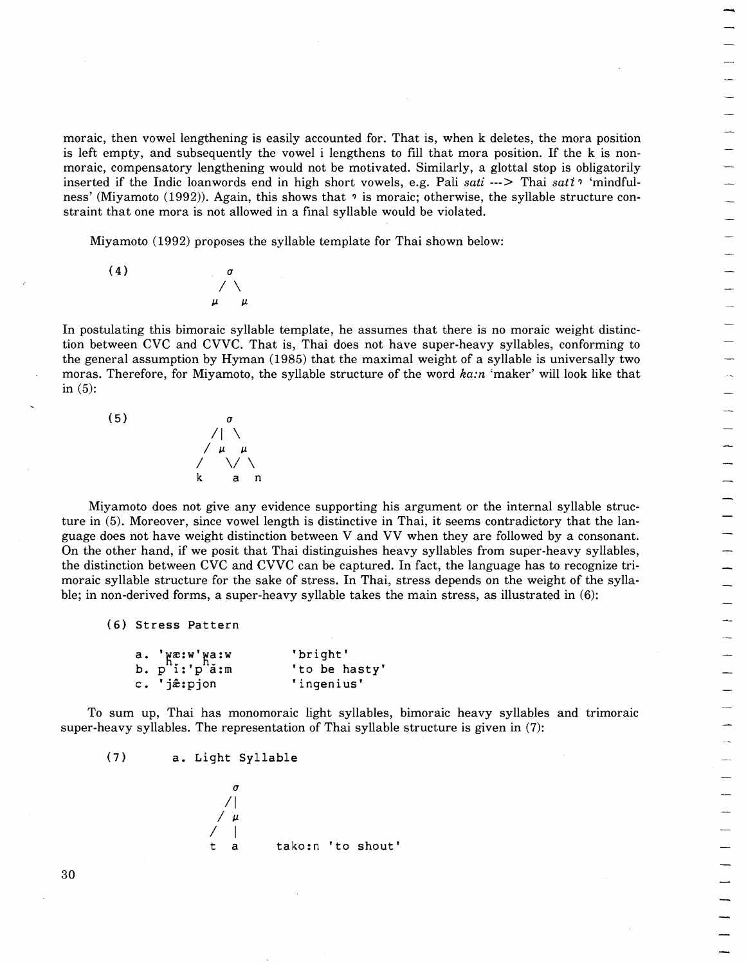moraic, then vowel lengthening is easily accounted for. That is, when k deletes, the mora position is left empty, and subsequently the vowel i lengthens to fill that mora position. If the k is nonmoraic, compensatory lengthening would not be motivated. Similarly, a glottal stop is obligatorily inserted if the Indic loanwords end in high short vowels, e.g. Pali *sati* ---> Thai *sati*<sup>9</sup> 'mindfulness' (Miyamoto (1992)). Again, this shows that  $\gamma$  is moraic; otherwise, the syllable structure constraint that one mora is not allowed in a final syllable would be violated.

Miyamoto (1992) proposes the syllable template for Thai shown below:

 $(4)$ 

In postulating this bimoraic syllable template, he assumes that there is no moraic weight distinction between CVC and CVVC. That is, Thai does not have super-heavy syllables, conforming to the general assumption by Hyman (1985) that the maximal weight of a syllable is universally two moras. Therefore, for Miyamoto, the syllable structure of the word *ka:n* 'maker' will look like that in  $(5)$ :



 $\sqrt{}$  $\mu$   $\mu$ 

Miyamoto does not give any evidence supporting his argument or the internal syllable structure in (5). Moreover, since vowel length is distinctive in Thai, it seems contradictory that the language does not have weight distinction between V and VV when they are followed by a consonant. On the other hand, if we posit that Thai distinguishes heavy syllables from super-heavy syllables, the distinction between CVC and CVVC can be captured. In fact, the language has to recognize trimoraic syllable structure for the sake of stress. In Thai, stress depends on the weight of the syllable; in non-derived forms, a super-heavy syllable takes the main stress, as illustrated in (6):

(6) Stress Pattern

|                                                             | 'bright'      |
|-------------------------------------------------------------|---------------|
| a. $'$ wæ:w'wa:w<br>b. p <sup>h</sup> i:'p <sup>h</sup> a:m | 'to be hasty' |
| c. 'jæ̂:pjon                                                | 'ingenius'    |

To sum up, Thai has monomoraic light syllables, bimoraic heavy syllables and trimoraic super-heavy syllables. The representation of Thai syllable structure is given in (7):

(7) a. Light Syllable

$$
\begin{array}{c}\n\sigma \\
\big/ \big/ \mu \\
\big/ \mu \\
t a \qquad \text{tako:n 'to shout'}\n\end{array}
$$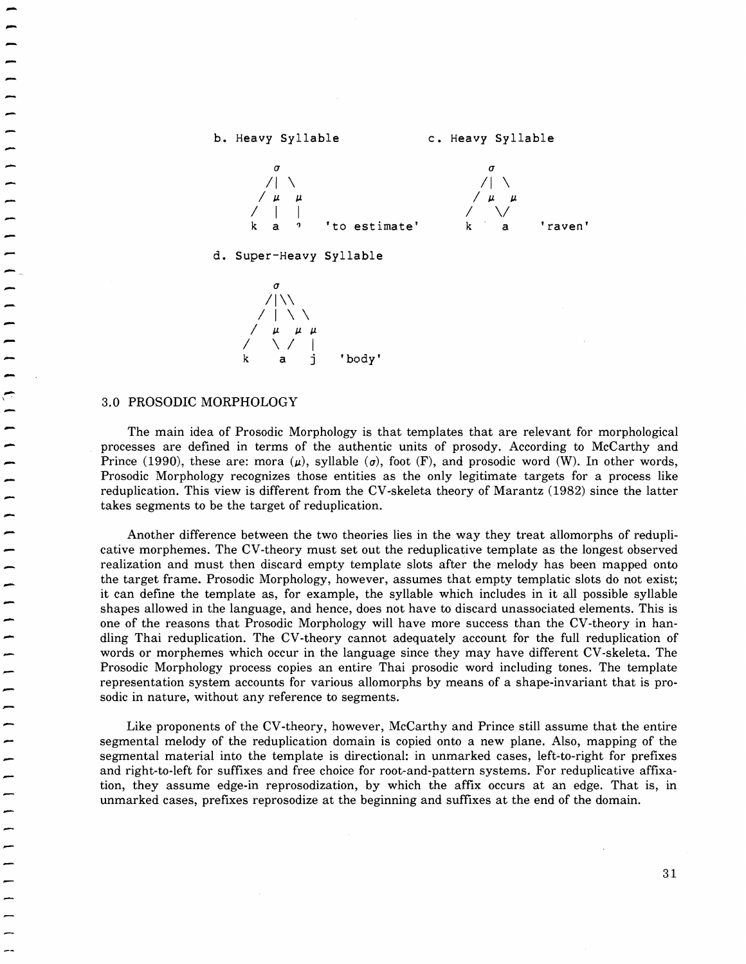



# ,.. 3.0 PROSODIC MORPHOLOGY

|<br>|<br>|

-<br>-<br>-

—<br>-<br>-

-<br>-<br>-

|<br>|<br>| -<br>-<br>-

|<br>|<br>|

\

The main idea of Prosodic Morphology is that templates that are relevant for morphological processes are defined in terms of the authentic units of prosody. According to McCarthy and Prince (1990), these are: mora ( $\mu$ ), syllable ( $\sigma$ ), foot (F), and prosodic word (W). In other words, Prosodic Morphology recognizes those entities as the only legitimate targets for a process like reduplication. This view is different from the CV-skeleta theory of Marantz (1982) since the latter takes segments to be the target of reduplication.

Another difference between the two theories lies in the way they treat allomorphs of reduplicative morphemes. The CV-theory must set out the reduplicative template as the longest observed realization and must then discard empty template slots after the melody has been mapped onto the target frame. Prosodic Morphology, however, assumes that empty templatic slots do not exist; it can define the template as, for example, the syllable which includes in it all possible syllable shapes allowed in the language, and hence, does not have to discard unassociated elements. This is one of the reasons that Prosodic Morphology will have more success than the CV-theory in handling Thai reduplication. The CV-theory cannot adequately account for the full reduplication of words or morphemes which occur in the language since they may have different CV-skeleta. The Prosodic Morphology process copies an entire Thai prosodic word including tones. The template representation system accounts for various allomorphs by means of a shape-invariant that is prosodic in nature, without any reference to segments.

Like proponents of the CV-theory, however, McCarthy and Prince still assume that the entire segmental melody of the reduplication domain is copied onto a new plane. Also, mapping of the segmental material into the template is directional: in unmarked cases, left-to-right for prefixes and right-to-Ieft for suffixes and free choice for root-and-pattern systems. For reduplicative affixation, they assume edge-in reprosodization, by which the affix occurs at an edge. That is, in unmarked cases, prefixes reprosodize at the beginning and suffixes at the end of the domain.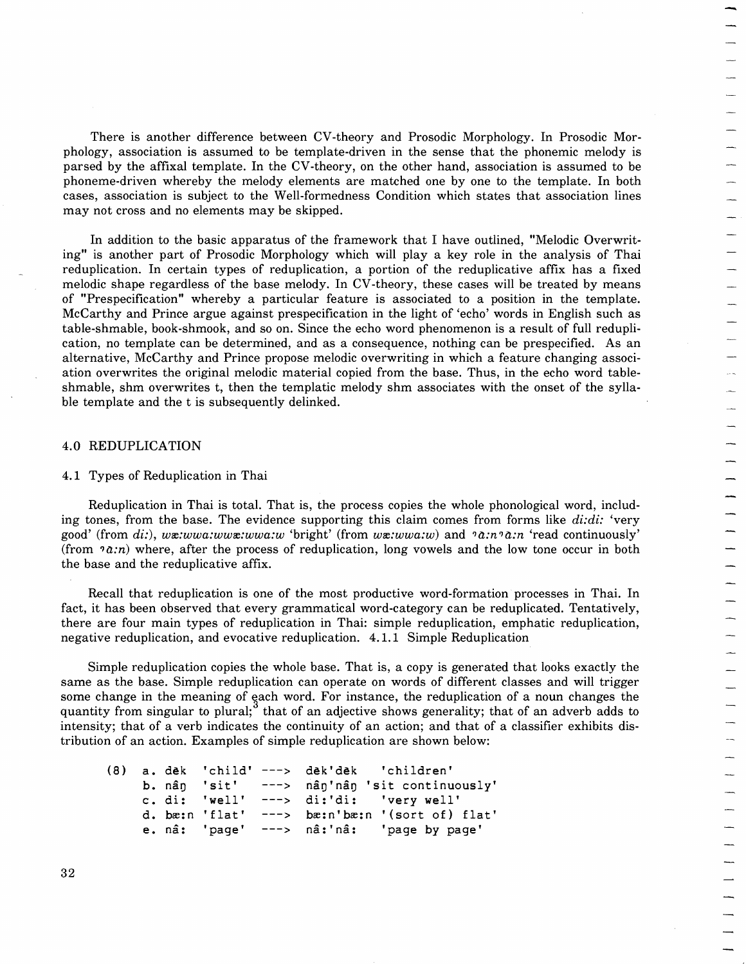There is another difference between CV-theory and Prosodic Morphology. In Prosodic Morphology, association is assumed to be template-driven in the sense that the phonemic melody is parsed by the affixal template. In the CV-theory, on the other hand, association is assumed to be phoneme-driven whereby the melody elements are matched one by one to the template. In both cases, association is subject to the Well-formedness Condition which states that association lines may not cross and no elements may be skipped.

In addition to the basic apparatus of the framework that I have outlined, "Melodic Overwriting" is another part of Prosodic Morphology which will playa key role in the analysis of Thai reduplication. In certain types of reduplication, a portion of the reduplicative affix has a fixed melodic shape regardless of the base melody. In CV-theory, these cases will be treated by means of "Prespecification" whereby a particular feature is associated to a position in the template. McCarthy and Prince argue against prespecification in the light of 'echo' words in English such as table-shmable, book-shmook, and so on. Since the echo word phenomenon is a result of full reduplication, no template can be determined, and as a consequence, nothing can be prespecified. As an alternative, McCarthy and Prince propose melodic overwriting in which a feature changing association overwrites the original melodic material copied from the base. Thus, in the echo word tableshmable, shm overwrites t, then the templatic melody shm associates with the onset of the syllable template and the t is subsequently delinked.

#### 4.0 REDUPLICATION

# 4.1 Types of Reduplication in Thai

Reduplication in Thai is total. That is, the process copies the whole phonological word, including tones, from the base. The evidence supporting this claim comes from forms like  $di$ : 'very good' (from di:), wx:wwa:wwx:wwa:w 'bright' (from wx:wwa:w) and  $2 \cdot n \cdot a$ :n 'read continuously' (from  $2\pi$ ) where, after the process of reduplication, long vowels and the low tone occur in both the base and the reduplicative affix.

Recall that reduplication is one of the most productive word-formation processes in Thai. In fact, it has been observed that every grammatical word-category can be reduplicated. Tentatively, there are four main types of reduplication in Thai: simple reduplication, emphatic reduplication, negative reduplication, and evocative reduplication. 4.1.1 Simple Reduplication

Simple reduplication copies the whole base. That is, a copy is generated that looks exactly the same as the base. Simple reduplication can operate on words of different classes and will trigger some change in the meaning of each word. For instance, the reduplication of a noun changes the quantity from singular to plural; that of an adjective shows generality; that of an adverb adds to intensity; that of a verb indicates the continuity of an action; and that of a classifier exhibits distribution of an action. Examples of simple reduplication are shown below:

|  |  | (8) a. dek 'child' ---> dek'dek 'children'        |
|--|--|---------------------------------------------------|
|  |  | b. nân 'sit' ---> nân'nân 'sit continuously'      |
|  |  | c. di: 'well' $--->$ di:'di: 'very well'          |
|  |  | d. bæ:n 'flat' $---$ > bæ:n'bæ:n '(sort of) flat' |
|  |  | e. nâ: 'page' ---> nâ:'nâ: 'page by page'         |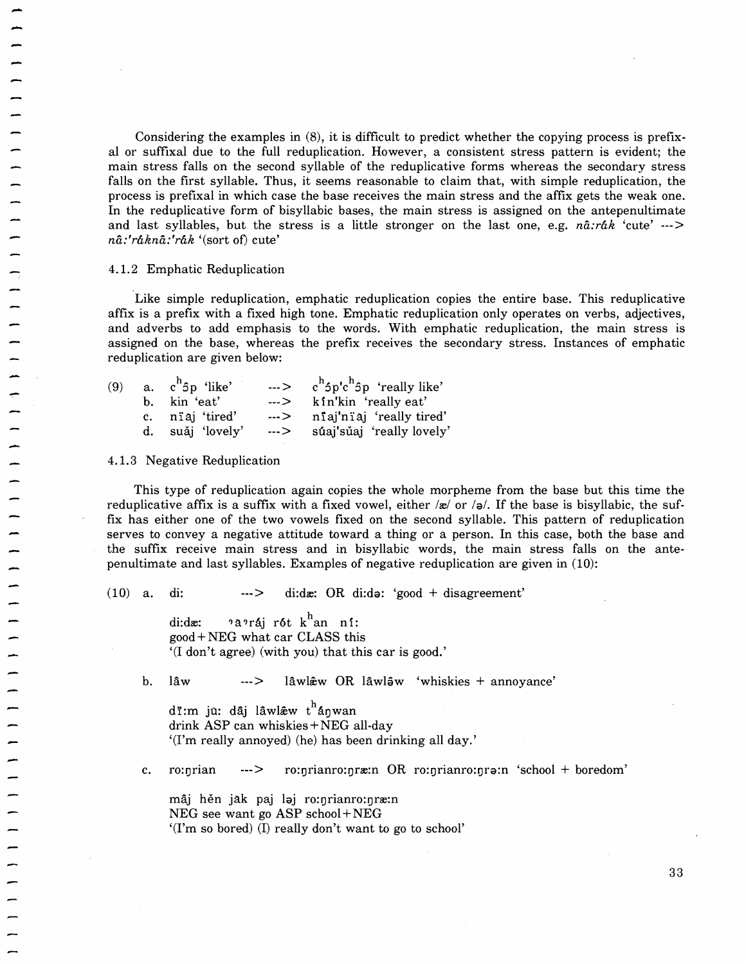Considering the examples in (8), it is difficult to predict whether the copying process is prefixal or suffixal due to the full reduplication. However, a consistent stress pattern is evident; the main stress falls on the second syllable of the reduplicative forms whereas the secondary stress falls on the first syllable. Thus, it seems reasonable to claim that, with simple reduplication, the process is prefixal in which case the base receives the main stress and the affix gets the weak one. In the reduplicative form of bisyllabic bases, the main stress is assigned on the antepenultimate and last syllables, but the stress is a little stronger on the last one, e.g. *na:rak* 'cute' ---> *na:'rakna:'rak* '(sort of) cute'

4.1. 2 Emphatic Reduplication

Like simple reduplication, emphatic reduplication copies the entire base. This reduplicative affix is a prefix with a fixed high tone. Emphatic reduplication only operates on verbs, adjectives, and adverbs to add emphasis to the words. With emphatic reduplication, the main stress is assigned on the base, whereas the prefix receives the secondary stress. Instances of emphatic reduplication are given below:

|  | (9) a. $c^h$ <sub>5</sub> p 'like' | $\cdots$ > c <sup>h</sup> <sup>5</sup> p'c <sup>h</sup> <sup>5</sup> p 'really like' |
|--|------------------------------------|--------------------------------------------------------------------------------------|
|  | b. kin 'eat'                       | ---> kin'kin 'really eat'                                                            |
|  | c. niaj 'tired'                    | ---> niaj'niaj 'really tired'                                                        |
|  | d. suǎi 'lovely'                   | ---> súaj'sǔaj 'really lovely'                                                       |

4.1.3 Negative Reduplication

This type of reduplication again copies the whole morpheme from the base but this time the reduplicative affix is a suffix with a fixed vowel, either  $\alpha$  or  $\beta$ . If the base is bisyllabic, the suffix has either one of the two vowels fixed on the second syllable. This pattern of reduplication serves to convey a negative attitude toward a thing or a person. In this case, both the base and the suffix receive main stress and in bisyllabic words, the main stress falls on the antepenultimate and last syllables. Examples of negative reduplication are given in (10):

(10) a. di:  $\qquad \qquad \longrightarrow \qquad \text{d} \text{:} \text{d} \text{z}: \text{OR} \text{d} \text{:} \text{d} \text{a}: \text{'} \text{good } + \text{disagreement'}$ 

di:dx:  $2a$ ?ráj rót k<sup>h</sup>an ní: good +NEG what car CLASS this '(I don't agree) (with you) that this car is good.'

b. lâw ---> lâwl $\hat{x}$ w OR lâwl $\hat{y}$ w 'whiskies + annoyance'

di:m ju: dâj lâwl $\hat{x}$ w t<sup>h</sup>ánwan drink ASP can whiskies +NEG all-day '(I'm really annoyed) (he) has been drinking all day.'

c. ro:nrian  $-2$  ro:nrianro:nræ:n OR ro:nrianro:nra:n 'school + boredom'

mâj hěn jak paj laj ro:nrianro:nræ:n NEG see want go ASP school +NEG '(I'm so bored) (1) really don't want to go to school'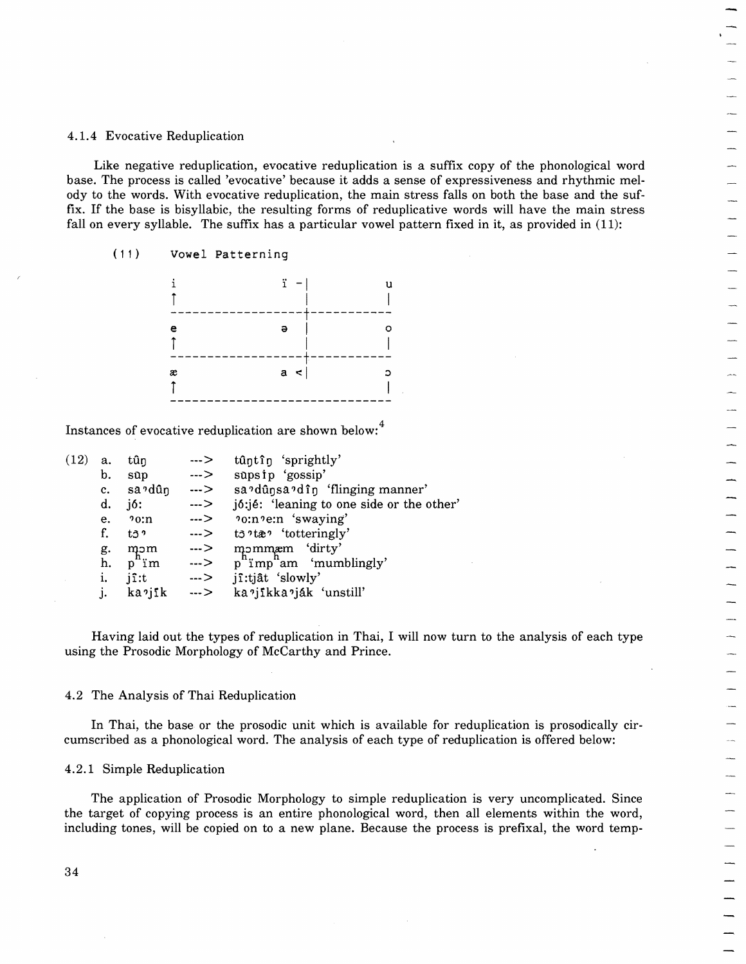# 4.1.4 Evocative Reduplication

Like negative reduplication, evocative reduplication is a suffix copy of the phonological word base. The process is called 'evocative' because it adds a sense of expressiveness and rhythmic melody to the words. With evocative reduplication, the main stress falls on both the base and the suffix. If the base is bisyllabic, the resulting forms of reduplicative words will have the main stress fall on every syllable. The suffix has a particular vowel pattern fixed in it, as provided in (11):<br>
(11) Vowel Patterni fall on every syllable. The suffix has a particular vowel pattern fixed in it, as provided in (11): Example all properties and the properties of the properties of the With evocative' because it adds a sense of e<br>
With evocative reduplication, the main stress fa<br>
bisyllabic, the resulting forms of reduplicative<br>
uble. Th s on both<br>ords will<br>ed in it, a

(11) Vowel Patterning

|                  | s. while evocative reduplication, the main stress is<br>is bisyllabic, the resulting forms of reduplicative<br>llable. The suffix has a particular vowel pattern fi |    |  |
|------------------|---------------------------------------------------------------------------------------------------------------------------------------------------------------------|----|--|
| Vowel Patterning |                                                                                                                                                                     |    |  |
|                  |                                                                                                                                                                     | 11 |  |
| е                | ə                                                                                                                                                                   | ິ  |  |
| æ                | a                                                                                                                                                                   |    |  |

Instances of evocative reduplication are shown below:<sup>4</sup>

| (12) | a.          | tûn                | --->          | tûntîn 'sprightly'                                       |
|------|-------------|--------------------|---------------|----------------------------------------------------------|
|      | b.          | $s$ up             | $\rightarrow$ | supsip 'gossip'                                          |
|      | $c_{\cdot}$ | sa'dûn             | >             | sa <sup>2</sup> dûnsa <sup>2</sup> dîn 'flinging manner' |
|      | d.          | j6:                | $\rightarrow$ | jó: jé: 'leaning to one side or the other'               |
|      | e.          | 20:n               | $\rightarrow$ |                                                          |
|      | f.          | t3 º               | $\rightarrow$ | $t3$ <sup>2</sup> ta <sup>2</sup> 'totteringly'          |
|      | g.          | mom                | $\rightarrow$ | mommæm 'dirty'                                           |
|      | h.          | $p^{\text{II}}$ im | $\ldots$      | $p^n$ imp <sup>n</sup> am 'mumblingly'                   |
|      | i.          | $j\hat{i}:t$       | $\rightarrow$ | jî:tjât 'slowly'                                         |
|      | j.          | kajik              | >             | ka ?jikka ?ják 'unstill'                                 |

Having laid out the types of reduplication in Thai, I will now turn to the analysis of each type using the Prosodic Morphology of McCarthy and Prince.

#### 4.2 The Analysis of Thai Reduplication

In Thai, the base or the prosodic unit which is available for reduplication is prosodically circumscribed as a phonological word. The analysis of each type of reduplication is offered below:

# 4.2.1 Simple Reduplication

The application of Prosodic Morphology to simple reduplication is very uncomplicated. Since the target of copying process is an entire phonological word, then all elements within the word, including tones, will be copied on to a new plane. Because the process is prefixal, the word temp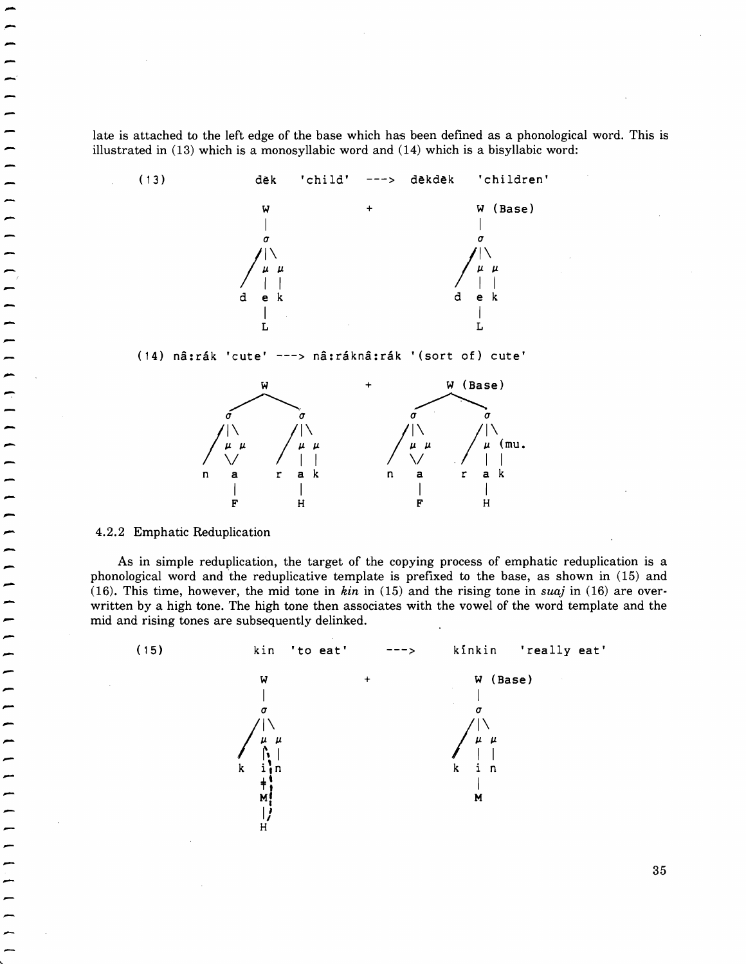late is attached to the left edge of the base which has been defined as a phonological word. This is illustrated in (13) which is a monosyllabic word and (14) which is a bisyllabic word:



(14) nâ: rák 'cute' ---> nâ: ráknâ: rák ' (sort of) cute'



4.2.2 Emphatic Reduplication

-<br>-<br>--<br>-<br>--'

-<br>-<br>-

-<br>-<br>-

-<br>-<br>-

-<br>-<br>-

—<br>—<br>— -<br>-<br>-

—<br>-<br>-

-<br>-<br>-

As in simple reduplication, the target of the copying process of emphatic reduplication is a phonological word and the reduplicative template is prefixed to the base, as shown in (15) and (16). This time, however, the mid tone in *kin* in (15) and the rising tone in *suaj* in (16) are overwritten by a high tone. The high tone then associates with the vowel of the word template and the mid and rising tones are subsequently delinked.

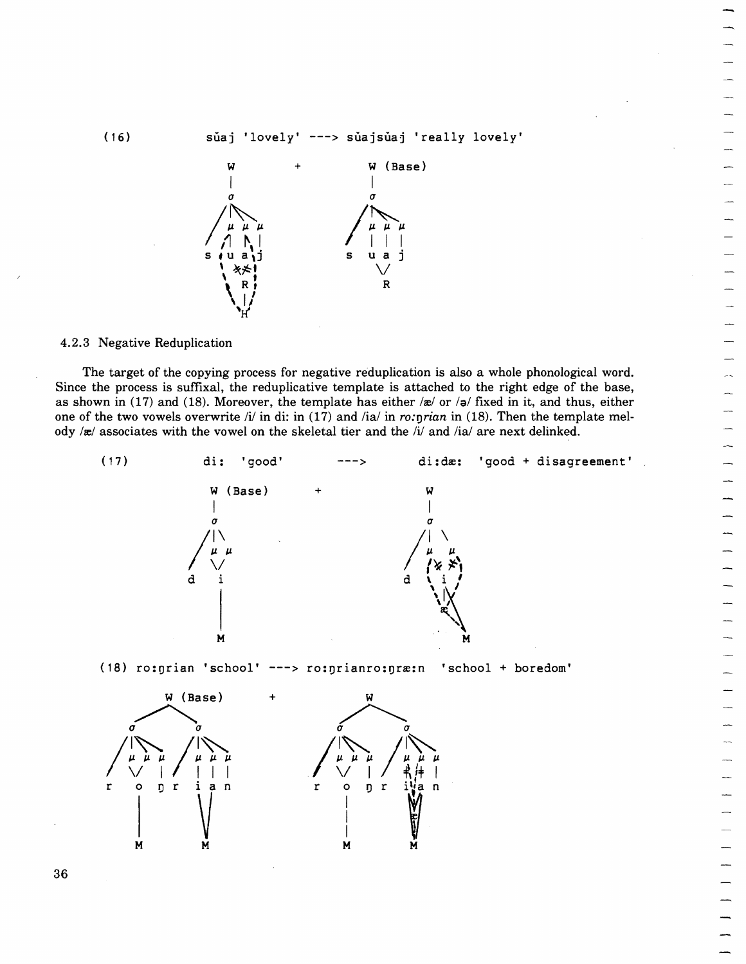$(16)$  suaj 'lovely' ---> suajsuaj 'really lovely'



4.2.3 Negative Reduplication

The target of the copying process for negative reduplication is also a whole phonological word. Since the process is suffixal, the reduplicative template is attached to the right edge of the base, as shown in (17) and (18). Moreover, the template has either  $\alpha$  or  $\beta$  fixed in it, and thus, either one of the two vowels overwrite  $\frac{1}{i}$  in di: in (17) and  $\frac{1}{i}$  in  $\frac{1}{i}$  in  $\frac{1}{i}$  in  $\frac{1}{i}$  in (18). Then the template melody /x/ associates with the vowel on the skeletal tier and the /i/ and /ia/ are next delinked.

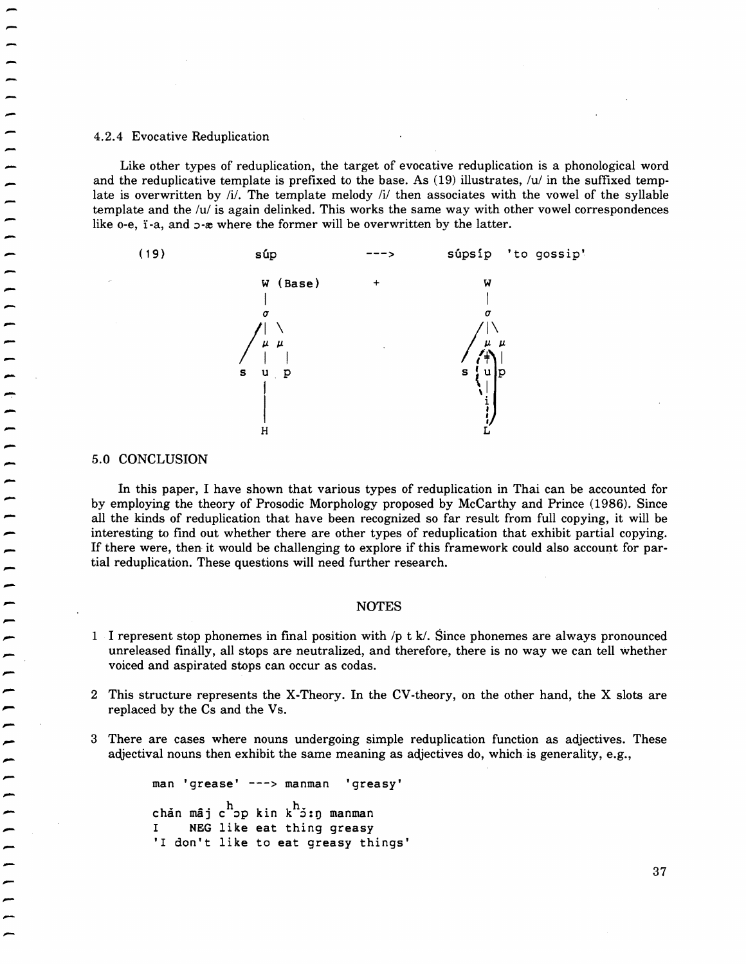### 4.2.4 Evocative Reduplication

Like other types of reduplication, the target of evocative reduplication is a phonological word Like other types of reduplication, the target of evocative reduplication is a phonological word<br>and the reduplicative template is prefixed to the base. As (19) illustrates, /u/ in the suffixed temp-<br>late is overwritten by template and the  $/u$  is again delinked. This works the same way with other vowel correspondences like o-e,  $i$ -a, and  $i$ - $x$  where the former will be overwritten by the latter.



#### ,... 5.0 CONCLUSION

-<br>-<br>-

"....

|<br>|<br>| -

In this paper, I have shown that various types of reduplication in Thai can be accounted for by employing the theory of Prosodic Morphology proposed by McCarthy and Prince (1986). Since all the kinds of reduplication that have been recognized so far result from full copying, it will be interesting to find out whether there are other types of reduplication that exhibit partial copying. If there were, then it would be challenging to explore if this framework could also account for par tial reduplication. These questions will need further research.

# ,..... NOTES

- 1 I represent stop phonemes in final position with  $/p$  t k. Since phonemes are always pronounced unreleased finally, all stops are neutralized, and therefore, there is no way we can tell whether voiced and aspirated stops can occur as codas.
- 2 This structure represents the X-Theory. In the CV-theory, on the other hand, the X slots are replaced by the Cs and the Vs.
- 3 There are cases where nouns undergoing simple reduplication function as adjectives. These adjectival nouns then exhibit the same meaning as adjectives do, which is generality, e.g.,

man 'grease' ---> manman 'greasy' chăn mâj c<sup>h</sup>op kin k<sup>h</sup>ỏ:ŋ manman I NEG like eat thing greasy 'I don't like to eat greasy things'